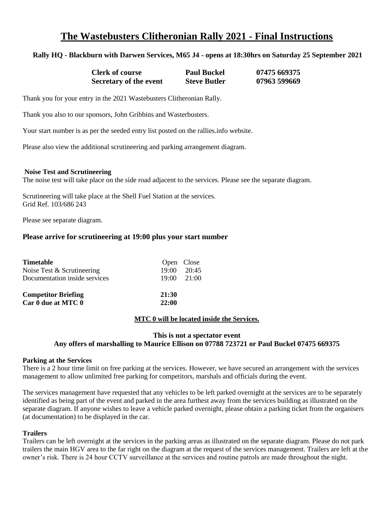# **The Wastebusters Clitheronian Rally 2021 - Final Instructions**

## **Rally HQ - Blackburn with Darwen Services, M65 J4 - opens at 18:30hrs on Saturday 25 September 2021**

| <b>Clerk of course</b> | <b>Paul Buckel</b>  | 07475 669375 |
|------------------------|---------------------|--------------|
| Secretary of the event | <b>Steve Butler</b> | 07963 599669 |

Thank you for your entry in the 2021 Wastebusters Clitheronian Rally.

Thank you also to our sponsors, John Gribbins and Wasterbusters.

Your start number is as per the seeded entry list posted on the rallies.info website.

Please also view the additional scrutineering and parking arrangement diagram.

#### **Noise Test and Scrutineering**

The noise test will take place on the side road adjacent to the services. Please see the separate diagram.

Scrutineering will take place at the Shell Fuel Station at the services. Grid Ref. 103/686 243

Please see separate diagram.

#### **Please arrive for scrutineering at 19:00 plus your start number**

| <b>Timetable</b><br>Noise Test & Scrutineering<br>Documentation inside services | Open Close<br>19:00 | 20:45<br>$19:00 \quad 21:00$ |
|---------------------------------------------------------------------------------|---------------------|------------------------------|
| <b>Competitor Briefing</b><br>Car 0 due at MTC 0                                | 21:30<br>22:00      |                              |

#### **MTC 0 will be located inside the Services.**

#### **This is not a spectator event Any offers of marshalling to Maurice Ellison on 07788 723721 or Paul Buckel 07475 669375**

#### **Parking at the Services**

There is a 2 hour time limit on free parking at the services. However, we have secured an arrangement with the services management to allow unlimited free parking for competitors, marshals and officials during the event.

The services management have requested that any vehicles to be left parked overnight at the services are to be separately identified as being part of the event and parked in the area furthest away from the services building as illustrated on the separate diagram. If anyone wishes to leave a vehicle parked overnight, please obtain a parking ticket from the organisers (at documentation) to be displayed in the car.

#### **Trailers**

Trailers can be left overnight at the services in the parking areas as illustrated on the separate diagram. Please do not park trailers the main HGV area to the far right on the diagram at the request of the services management. Trailers are left at the owner's risk. There is 24 hour CCTV surveillance at the services and routine patrols are made throughout the night.